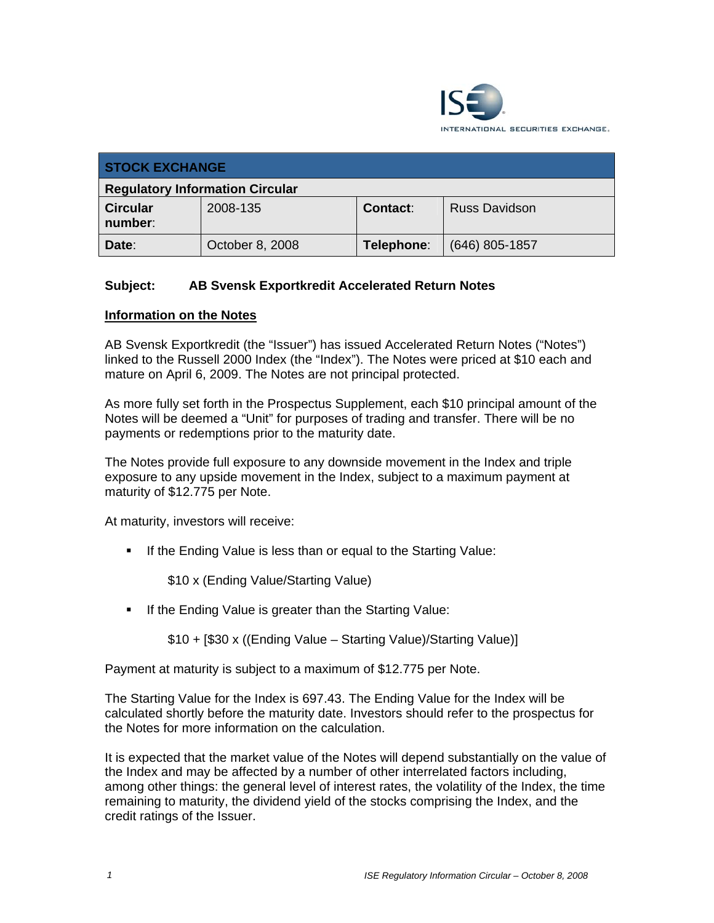

| <b>STOCK EXCHANGE</b>                  |                 |            |                      |
|----------------------------------------|-----------------|------------|----------------------|
| <b>Regulatory Information Circular</b> |                 |            |                      |
| <b>Circular</b><br>number:             | 2008-135        | Contact:   | <b>Russ Davidson</b> |
| Date:                                  | October 8, 2008 | Telephone: | $(646)$ 805-1857     |

# **Subject: AB Svensk Exportkredit Accelerated Return Notes**

#### **Information on the Notes**

AB Svensk Exportkredit (the "Issuer") has issued Accelerated Return Notes ("Notes") linked to the Russell 2000 Index (the "Index"). The Notes were priced at \$10 each and mature on April 6, 2009. The Notes are not principal protected.

As more fully set forth in the Prospectus Supplement, each \$10 principal amount of the Notes will be deemed a "Unit" for purposes of trading and transfer. There will be no payments or redemptions prior to the maturity date.

The Notes provide full exposure to any downside movement in the Index and triple exposure to any upside movement in the Index, subject to a maximum payment at maturity of \$12.775 per Note.

At maturity, investors will receive:

**If the Ending Value is less than or equal to the Starting Value:** 

\$10 x (Ending Value/Starting Value)

**If the Ending Value is greater than the Starting Value:** 

\$10 + [\$30 x ((Ending Value – Starting Value)/Starting Value)]

Payment at maturity is subject to a maximum of \$12.775 per Note.

The Starting Value for the Index is 697.43. The Ending Value for the Index will be calculated shortly before the maturity date. Investors should refer to the prospectus for the Notes for more information on the calculation.

It is expected that the market value of the Notes will depend substantially on the value of the Index and may be affected by a number of other interrelated factors including, among other things: the general level of interest rates, the volatility of the Index, the time remaining to maturity, the dividend yield of the stocks comprising the Index, and the credit ratings of the Issuer.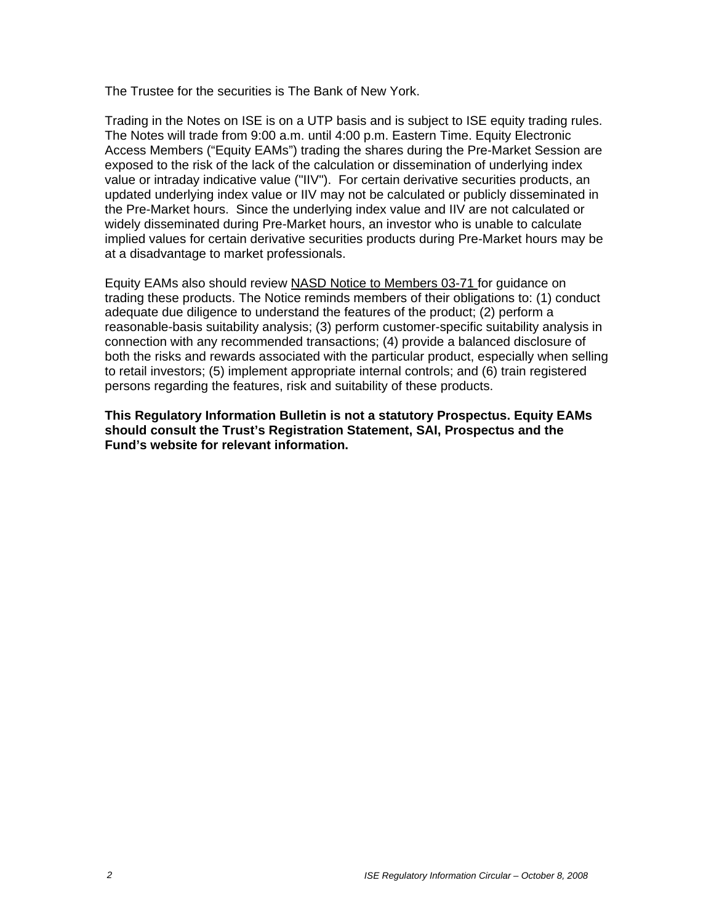The Trustee for the securities is The Bank of New York.

Trading in the Notes on ISE is on a UTP basis and is subject to ISE equity trading rules. The Notes will trade from 9:00 a.m. until 4:00 p.m. Eastern Time. Equity Electronic Access Members ("Equity EAMs") trading the shares during the Pre-Market Session are exposed to the risk of the lack of the calculation or dissemination of underlying index value or intraday indicative value ("IIV"). For certain derivative securities products, an updated underlying index value or IIV may not be calculated or publicly disseminated in the Pre-Market hours. Since the underlying index value and IIV are not calculated or widely disseminated during Pre-Market hours, an investor who is unable to calculate implied values for certain derivative securities products during Pre-Market hours may be at a disadvantage to market professionals.

Equity EAMs also should review NASD Notice to Members 03-71 for guidance on trading these products. The Notice reminds members of their obligations to: (1) conduct adequate due diligence to understand the features of the product; (2) perform a reasonable-basis suitability analysis; (3) perform customer-specific suitability analysis in connection with any recommended transactions; (4) provide a balanced disclosure of both the risks and rewards associated with the particular product, especially when selling to retail investors; (5) implement appropriate internal controls; and (6) train registered persons regarding the features, risk and suitability of these products.

**This Regulatory Information Bulletin is not a statutory Prospectus. Equity EAMs should consult the Trust's Registration Statement, SAI, Prospectus and the Fund's website for relevant information.**